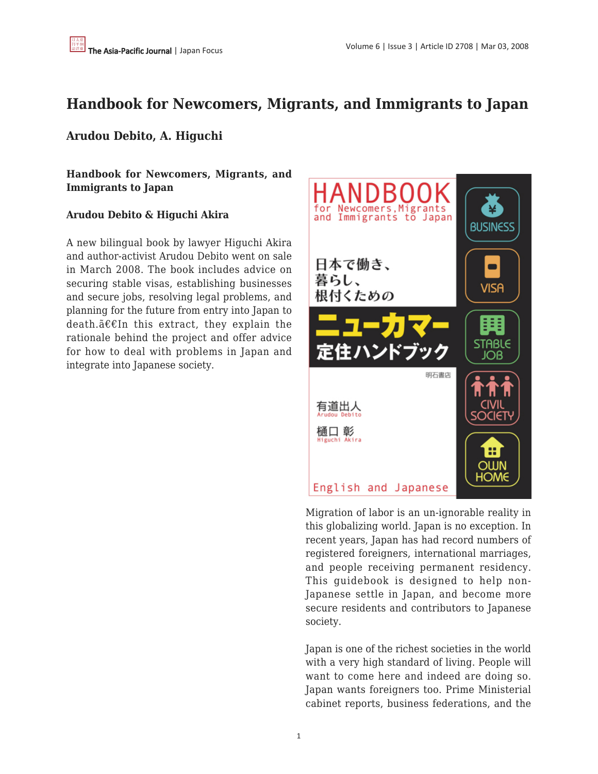# **Handbook for Newcomers, Migrants, and Immigrants to Japan**

## **Arudou Debito, A. Higuchi**

**Handbook for Newcomers, Migrants, and Immigrants to Japan**

## **Arudou Debito & Higuchi Akira**

A new bilingual book by lawyer Higuchi Akira and author-activist Arudou Debito went on sale in March 2008. The book includes advice on securing stable visas, establishing businesses and secure jobs, resolving legal problems, and planning for the future from entry into Japan to death. $a \in \mathbb{R}$  in this extract, they explain the rationale behind the project and offer advice for how to deal with problems in Japan and integrate into Japanese society.



Migration of labor is an un-ignorable reality in this globalizing world. Japan is no exception. In recent years, Japan has had record numbers of registered foreigners, international marriages, and people receiving permanent residency. This guidebook is designed to help non-Japanese settle in Japan, and become more secure residents and contributors to Japanese society.

Japan is one of the richest societies in the world with a very high standard of living. People will want to come here and indeed are doing so. Japan wants foreigners too. Prime Ministerial cabinet reports, business federations, and the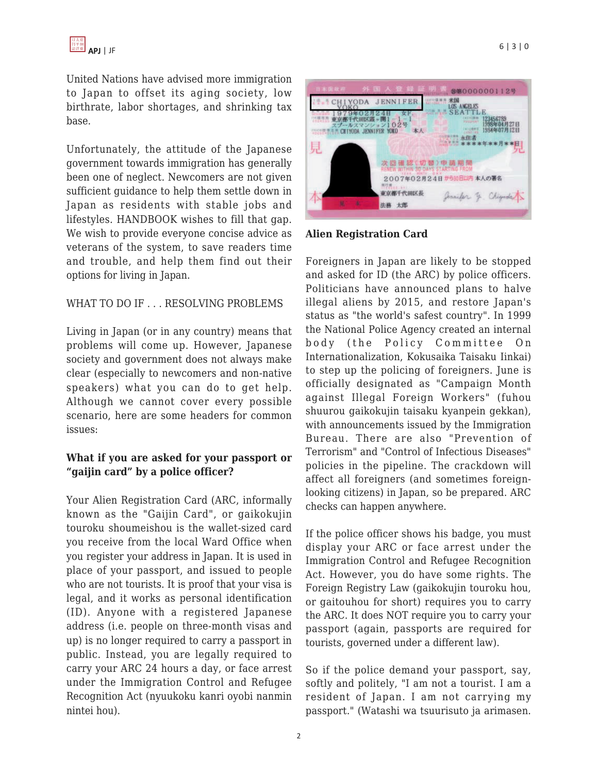United Nations have advised more immigration to Japan to offset its aging society, low birthrate, labor shortages, and shrinking tax base.

Unfortunately, the attitude of the Japanese government towards immigration has generally been one of neglect. Newcomers are not given sufficient guidance to help them settle down in Japan as residents with stable jobs and lifestyles. HANDBOOK wishes to fill that gap. We wish to provide everyone concise advice as veterans of the system, to save readers time and trouble, and help them find out their options for living in Japan.

#### WHAT TO DO IF . . . RESOLVING PROBLEMS

Living in Japan (or in any country) means that problems will come up. However, Japanese society and government does not always make clear (especially to newcomers and non-native speakers) what you can do to get help. Although we cannot cover every possible scenario, here are some headers for common issues:

## **What if you are asked for your passport or "gaijin card" by a police officer?**

Your Alien Registration Card (ARC, informally known as the "Gaijin Card", or gaikokujin touroku shoumeishou is the wallet-sized card you receive from the local Ward Office when you register your address in Japan. It is used in place of your passport, and issued to people who are not tourists. It is proof that your visa is legal, and it works as personal identification (ID). Anyone with a registered Japanese address (i.e. people on three-month visas and up) is no longer required to carry a passport in public. Instead, you are legally required to carry your ARC 24 hours a day, or face arrest under the Immigration Control and Refugee Recognition Act (nyuukoku kanri oyobi nanmin nintei hou).



**Alien Registration Card**

Foreigners in Japan are likely to be stopped and asked for ID (the ARC) by police officers. Politicians have announced plans to halve illegal aliens by 2015, and restore Japan's status as "the world's safest country". In 1999 the National Police Agency created an internal body (the Policy Committee On Internationalization, Kokusaika Taisaku Iinkai) to step up the policing of foreigners. June is officially designated as "Campaign Month against Illegal Foreign Workers" (fuhou shuurou gaikokujin taisaku kyanpein gekkan), with announcements issued by the Immigration Bureau. There are also "Prevention of Terrorism" and "Control of Infectious Diseases" policies in the pipeline. The crackdown will affect all foreigners (and sometimes foreignlooking citizens) in Japan, so be prepared. ARC checks can happen anywhere.

If the police officer shows his badge, you must display your ARC or face arrest under the Immigration Control and Refugee Recognition Act. However, you do have some rights. The Foreign Registry Law (gaikokujin touroku hou, or gaitouhou for short) requires you to carry the ARC. It does NOT require you to carry your passport (again, passports are required for tourists, governed under a different law).

So if the police demand your passport, say, softly and politely, "I am not a tourist. I am a resident of Japan. I am not carrying my passport." (Watashi wa tsuurisuto ja arimasen.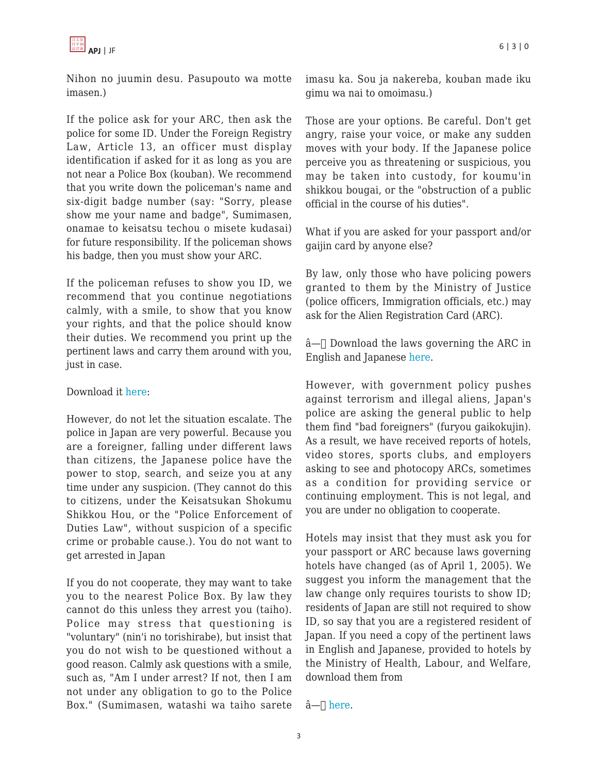

Nihon no juumin desu. Pasupouto wa motte imasen.)

If the police ask for your ARC, then ask the police for some ID. Under the Foreign Registry Law, Article 13, an officer must display identification if asked for it as long as you are not near a Police Box (kouban). We recommend that you write down the policeman's name and six-digit badge number (say: "Sorry, please show me your name and badge", Sumimasen, onamae to keisatsu techou o misete kudasai) for future responsibility. If the policeman shows his badge, then you must show your ARC.

If the policeman refuses to show you ID, we recommend that you continue negotiations calmly, with a smile, to show that you know your rights, and that the police should know their duties. We recommend you print up the pertinent laws and carry them around with you, just in case.

#### Download it [here](http://www.debito.org/instantcheckpointsbrief.html):

However, do not let the situation escalate. The police in Japan are very powerful. Because you are a foreigner, falling under different laws than citizens, the Japanese police have the power to stop, search, and seize you at any time under any suspicion. (They cannot do this to citizens, under the Keisatsukan Shokumu Shikkou Hou, or the "Police Enforcement of Duties Law", without suspicion of a specific crime or probable cause.). You do not want to get arrested in Japan

If you do not cooperate, they may want to take you to the nearest Police Box. By law they cannot do this unless they arrest you (taiho). Police may stress that questioning is "voluntary" (nin'i no torishirabe), but insist that you do not wish to be questioned without a good reason. Calmly ask questions with a smile, such as, "Am I under arrest? If not, then I am not under any obligation to go to the Police Box." (Sumimasen, watashi wa taiho sarete imasu ka. Sou ja nakereba, kouban made iku gimu wa nai to omoimasu.)

Those are your options. Be careful. Don't get angry, raise your voice, or make any sudden moves with your body. If the Japanese police perceive you as threatening or suspicious, you may be taken into custody, for koumu'in shikkou bougai, or the "obstruction of a public official in the course of his duties".

What if you are asked for your passport and/or gaijin card by anyone else?

By law, only those who have policing powers granted to them by the Ministry of Justice (police officers, Immigration officials, etc.) may ask for the Alien Registration Card (ARC).

 $\hat{a}$ — $\cap$  Download the laws governing the ARC in English and Japanese [here.](http://www.debito.org/residentspage.html#checkpoints)

However, with government policy pushes against terrorism and illegal aliens, Japan's police are asking the general public to help them find "bad foreigners" (furyou gaikokujin). As a result, we have received reports of hotels, video stores, sports clubs, and employers asking to see and photocopy ARCs, sometimes as a condition for providing service or continuing employment. This is not legal, and you are under no obligation to cooperate.

Hotels may insist that they must ask you for your passport or ARC because laws governing hotels have changed (as of April 1, 2005). We suggest you inform the management that the law change only requires tourists to show ID; residents of Japan are still not required to show ID, so say that you are a registered resident of Japan. If you need a copy of the pertinent laws in English and Japanese, provided to hotels by the Ministry of Health, Labour, and Welfare, download them from

 $\hat{a}$ — $\prod$  [here.](http://www.debito.org/newhotelpassportlaw.html)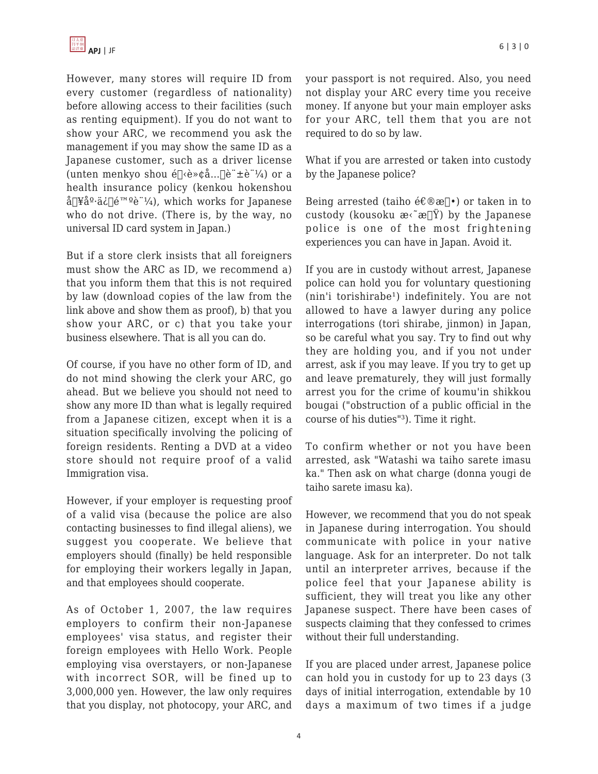However, many stores will require ID from every customer (regardless of nationality) before allowing access to their facilities (such as renting equipment). If you do not want to show your ARC, we recommend you ask the management if you may show the same ID as a Japanese customer, such as a driver license (unten menkyo shou é $\lceil\langle e^*\rangle\langle a \rangle \cdot \lceil\langle e^*\pm e^*\rangle\langle a \rangle$  or a health insurance policy (kenkou hokenshou å $\lceil \frac{\mathcal{V}^2}{2}a^{\frac{1}{2}}\right|$ 険è"¼), which works for Japanese who do not drive. (There is, by the way, no universal ID card system in Japan.)

But if a store clerk insists that all foreigners must show the ARC as ID, we recommend a) that you inform them that this is not required by law (download copies of the law from the link above and show them as proof), b) that you show your ARC, or c) that you take your business elsewhere. That is all you can do.

Of course, if you have no other form of ID, and do not mind showing the clerk your ARC, go ahead. But we believe you should not need to show any more ID than what is legally required from a Japanese citizen, except when it is a situation specifically involving the policing of foreign residents. Renting a DVD at a video store should not require proof of a valid Immigration visa.

However, if your employer is requesting proof of a valid visa (because the police are also contacting businesses to find illegal aliens), we suggest you cooperate. We believe that employers should (finally) be held responsible for employing their workers legally in Japan, and that employees should cooperate.

As of October 1, 2007, the law requires employers to confirm their non-Japanese employees' visa status, and register their foreign employees with Hello Work. People employing visa overstayers, or non-Japanese with incorrect SOR, will be fined up to 3,000,000 yen. However, the law only requires that you display, not photocopy, your ARC, and your passport is not required. Also, you need not display your ARC every time you receive money. If anyone but your main employer asks for your ARC, tell them that you are not required to do so by law.

What if you are arrested or taken into custody by the Japanese police?

Being arrested (taiho é $\epsilon \otimes \infty$ ] $\bullet$ ) or taken in to custody (kousoku  $\mathbf{e} \in \mathbb{R}^n$ ) by the Japanese police is one of the most frightening experiences you can have in Japan. Avoid it.

If you are in custody without arrest, Japanese police can hold you for voluntary questioning (nin'i torishirabe<sup>1</sup>) indefinitely. You are not allowed to have a lawyer during any police interrogations (tori shirabe, jinmon) in Japan, so be careful what you say. Try to find out why they are holding you, and if you not under arrest, ask if you may leave. If you try to get up and leave prematurely, they will just formally arrest you for the crime of koumu'in shikkou bougai ("obstruction of a public official in the course of his duties"<sup>3</sup>). Time it right.

To confirm whether or not you have been arrested, ask "Watashi wa taiho sarete imasu ka." Then ask on what charge (donna yougi de taiho sarete imasu ka).

However, we recommend that you do not speak in Japanese during interrogation. You should communicate with police in your native language. Ask for an interpreter. Do not talk until an interpreter arrives, because if the police feel that your Japanese ability is sufficient, they will treat you like any other Japanese suspect. There have been cases of suspects claiming that they confessed to crimes without their full understanding.

If you are placed under arrest, Japanese police can hold you in custody for up to 23 days (3 days of initial interrogation, extendable by 10 days a maximum of two times if a judge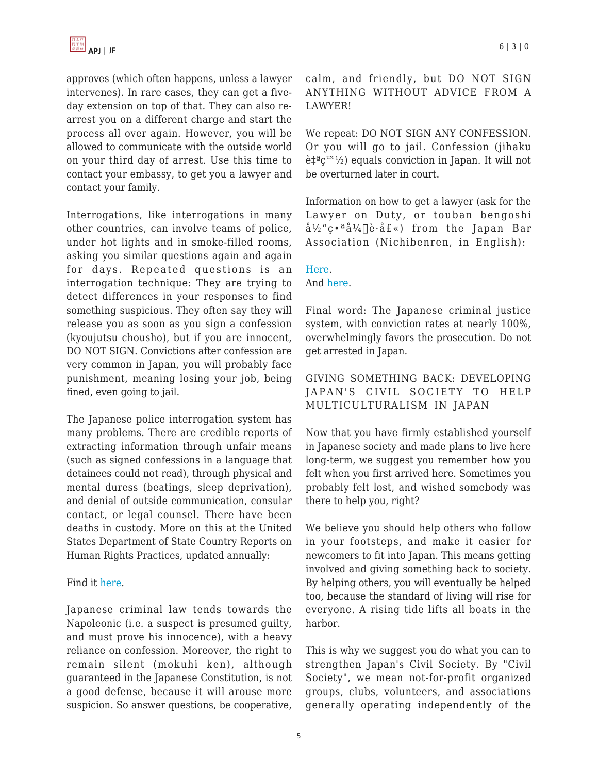approves (which often happens, unless a lawyer intervenes). In rare cases, they can get a fiveday extension on top of that. They can also rearrest you on a different charge and start the process all over again. However, you will be allowed to communicate with the outside world on your third day of arrest. Use this time to contact your embassy, to get you a lawyer and contact your family.

Interrogations, like interrogations in many other countries, can involve teams of police, under hot lights and in smoke-filled rooms, asking you similar questions again and again for days. Repeated questions is an interrogation technique: They are trying to detect differences in your responses to find something suspicious. They often say they will release you as soon as you sign a confession (kyoujutsu chousho), but if you are innocent, DO NOT SIGN. Convictions after confession are very common in Japan, you will probably face punishment, meaning losing your job, being fined, even going to jail.

The Japanese police interrogation system has many problems. There are credible reports of extracting information through unfair means (such as signed confessions in a language that detainees could not read), through physical and mental duress (beatings, sleep deprivation), and denial of outside communication, consular contact, or legal counsel. There have been deaths in custody. More on this at the United States Department of State Country Reports on Human Rights Practices, updated annually:

#### Find it [here](http://www.state.gov/g/drl/rls/hrrpt/2005/61610.htm).

Japanese criminal law tends towards the Napoleonic (i.e. a suspect is presumed guilty, and must prove his innocence), with a heavy reliance on confession. Moreover, the right to remain silent (mokuhi ken), although guaranteed in the Japanese Constitution, is not a good defense, because it will arouse more suspicion. So answer questions, be cooperative, calm, and friendly, but DO NOT SIGN ANYTHING WITHOUT ADVICE FROM A LAWYER!

We repeat: DO NOT SIGN ANY CONFESSION. Or you will go to jail. Confession (jihaku  $\hat{e} \ddagger^{\alpha} C^{m}$ <sup>1</sup>/<sub>2</sub>) equals conviction in Japan. It will not be overturned later in court.

Information on how to get a lawyer (ask for the Lawyer on Duty, or touban bengoshi  $a^{3}/2$ "ç $\cdot$ ªå $^{4}/4$ []è·å£«) from the Japan Bar Association (Nichibenren, in English):

## [Here](http://www.nichibenren.or.jp/en/index.html). And [here.](http://www.nichibenren.or.jp/en/legal/arrest_01.html)

Final word: The Japanese criminal justice system, with conviction rates at nearly 100%, overwhelmingly favors the prosecution. Do not get arrested in Japan.

## GIVING SOMETHING BACK: DEVELOPING JAPAN'S CIVIL SOCIETY TO HELP MULTICULTURALISM IN JAPAN

Now that you have firmly established yourself in Japanese society and made plans to live here long-term, we suggest you remember how you felt when you first arrived here. Sometimes you probably felt lost, and wished somebody was there to help you, right?

We believe you should help others who follow in your footsteps, and make it easier for newcomers to fit into Japan. This means getting involved and giving something back to society. By helping others, you will eventually be helped too, because the standard of living will rise for everyone. A rising tide lifts all boats in the harbor.

This is why we suggest you do what you can to strengthen Japan's Civil Society. By "Civil Society", we mean not-for-profit organized groups, clubs, volunteers, and associations generally operating independently of the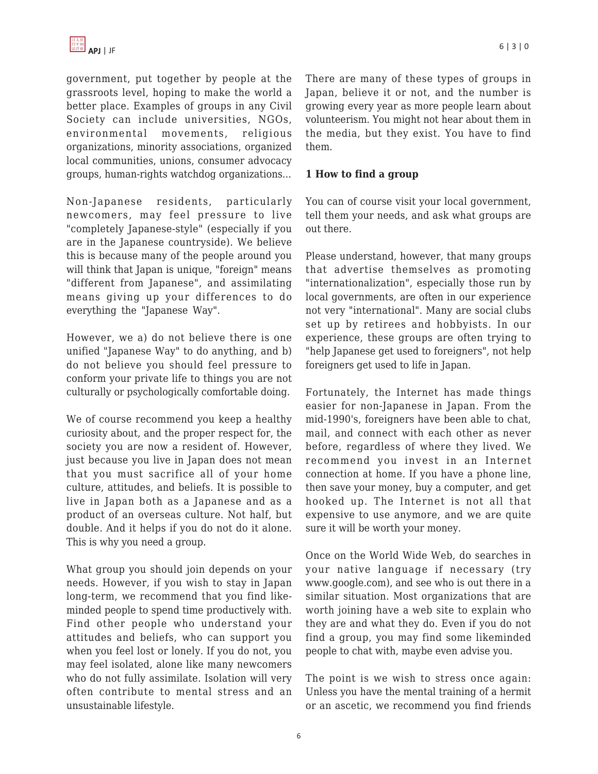government, put together by people at the grassroots level, hoping to make the world a better place. Examples of groups in any Civil Society can include universities, NGOs, environmental movements, religious organizations, minority associations, organized local communities, unions, consumer advocacy groups, human-rights watchdog organizations...

Non-Japanese residents, particularly newcomers, may feel pressure to live "completely Japanese-style" (especially if you are in the Japanese countryside). We believe this is because many of the people around you will think that Japan is unique, "foreign" means "different from Japanese", and assimilating means giving up your differences to do everything the "Japanese Way".

However, we a) do not believe there is one unified "Japanese Way" to do anything, and b) do not believe you should feel pressure to conform your private life to things you are not culturally or psychologically comfortable doing.

We of course recommend you keep a healthy curiosity about, and the proper respect for, the society you are now a resident of. However, just because you live in Japan does not mean that you must sacrifice all of your home culture, attitudes, and beliefs. It is possible to live in Japan both as a Japanese and as a product of an overseas culture. Not half, but double. And it helps if you do not do it alone. This is why you need a group.

What group you should join depends on your needs. However, if you wish to stay in Japan long-term, we recommend that you find likeminded people to spend time productively with. Find other people who understand your attitudes and beliefs, who can support you when you feel lost or lonely. If you do not, you may feel isolated, alone like many newcomers who do not fully assimilate. Isolation will very often contribute to mental stress and an unsustainable lifestyle.

There are many of these types of groups in Japan, believe it or not, and the number is growing every year as more people learn about volunteerism. You might not hear about them in the media, but they exist. You have to find them.

## **1 How to find a group**

You can of course visit your local government, tell them your needs, and ask what groups are out there.

Please understand, however, that many groups that advertise themselves as promoting "internationalization", especially those run by local governments, are often in our experience not very "international". Many are social clubs set up by retirees and hobbyists. In our experience, these groups are often trying to "help Japanese get used to foreigners", not help foreigners get used to life in Japan.

Fortunately, the Internet has made things easier for non-Japanese in Japan. From the mid-1990's, foreigners have been able to chat, mail, and connect with each other as never before, regardless of where they lived. We recommend you invest in an Internet connection at home. If you have a phone line, then save your money, buy a computer, and get hooked up. The Internet is not all that expensive to use anymore, and we are quite sure it will be worth your money.

Once on the World Wide Web, do searches in your native language if necessary (try www.google.com), and see who is out there in a similar situation. Most organizations that are worth joining have a web site to explain who they are and what they do. Even if you do not find a group, you may find some likeminded people to chat with, maybe even advise you.

The point is we wish to stress once again: Unless you have the mental training of a hermit or an ascetic, we recommend you find friends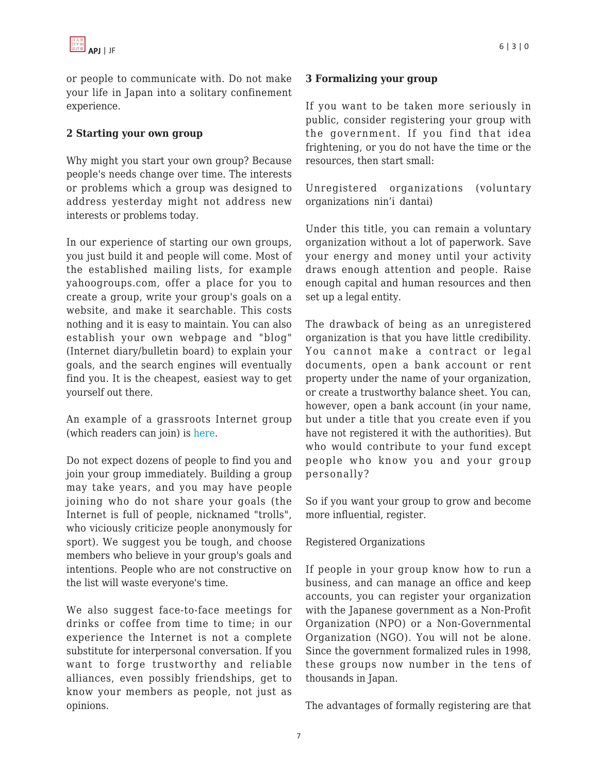

or people to communicate with. Do not make your life in Japan into a solitary confinement experience.

#### **2 Starting your own group**

Why might you start your own group? Because people's needs change over time. The interests or problems which a group was designed to address yesterday might not address new interests or problems today.

In our experience of starting our own groups, you just build it and people will come. Most of the established mailing lists, for example yahoogroups.com, offer a place for you to create a group, write your group's goals on a website, and make it searchable. This costs nothing and it is easy to maintain. You can also establish your own webpage and "blog" (Internet diary/bulletin board) to explain your goals, and the search engines will eventually find you. It is the cheapest, easiest way to get yourself out there.

An example of a grassroots Internet group (which readers can join) is [here](http://www.debito.org/TheCommunity).

Do not expect dozens of people to find you and join your group immediately. Building a group may take years, and you may have people joining who do not share your goals (the Internet is full of people, nicknamed "trolls", who viciously criticize people anonymously for sport). We suggest you be tough, and choose members who believe in your group's goals and intentions. People who are not constructive on the list will waste everyone's time.

We also suggest face-to-face meetings for drinks or coffee from time to time; in our experience the Internet is not a complete substitute for interpersonal conversation. If you want to forge trustworthy and reliable alliances, even possibly friendships, get to know your members as people, not just as opinions.

#### **3 Formalizing your group**

If you want to be taken more seriously in public, consider registering your group with the government. If you find that idea frightening, or you do not have the time or the resources, then start small:

Unregistered organizations (voluntary organizations nin'i dantai)

Under this title, you can remain a voluntary organization without a lot of paperwork. Save your energy and money until your activity draws enough attention and people. Raise enough capital and human resources and then set up a legal entity.

The drawback of being as an unregistered organization is that you have little credibility. You cannot make a contract or legal documents, open a bank account or rent property under the name of your organization, or create a trustworthy balance sheet. You can, however, open a bank account (in your name, but under a title that you create even if you have not registered it with the authorities). But who would contribute to your fund except people who know you and your group personally?

So if you want your group to grow and become more influential, register.

#### Registered Organizations

If people in your group know how to run a business, and can manage an office and keep accounts, you can register your organization with the Japanese government as a Non-Profit Organization (NPO) or a Non-Governmental Organization (NGO). You will not be alone. Since the government formalized rules in 1998, these groups now number in the tens of thousands in Japan.

The advantages of formally registering are that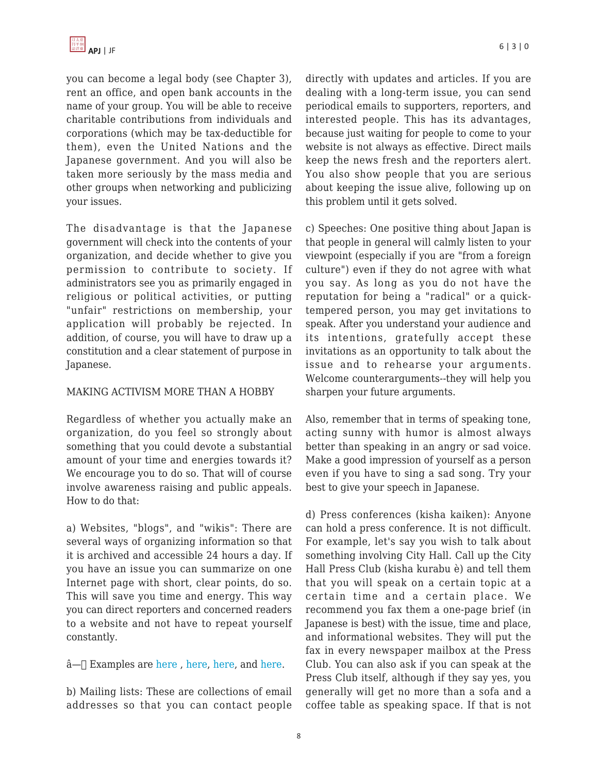you can become a legal body (see Chapter 3), rent an office, and open bank accounts in the name of your group. You will be able to receive charitable contributions from individuals and corporations (which may be tax-deductible for them), even the United Nations and the Japanese government. And you will also be taken more seriously by the mass media and other groups when networking and publicizing your issues.

The disadvantage is that the Japanese government will check into the contents of your organization, and decide whether to give you permission to contribute to society. If administrators see you as primarily engaged in religious or political activities, or putting "unfair" restrictions on membership, your application will probably be rejected. In addition, of course, you will have to draw up a constitution and a clear statement of purpose in Japanese.

#### MAKING ACTIVISM MORE THAN A HOBBY

Regardless of whether you actually make an organization, do you feel so strongly about something that you could devote a substantial amount of your time and energies towards it? We encourage you to do so. That will of course involve awareness raising and public appeals. How to do that:

a) Websites, "blogs", and "wikis": There are several ways of organizing information so that it is archived and accessible 24 hours a day. If you have an issue you can summarize on one Internet page with short, clear points, do so. This will save you time and energy. This way you can direct reporters and concerned readers to a website and not have to repeat yourself constantly.

 $\hat{a}$ — $\Box$  Examples are [here](http://www.debito.org), [here](http://www.tokyoprogressive.org), here, and [here.](http://www.crnjapan.com)

b) Mailing lists: These are collections of email addresses so that you can contact people directly with updates and articles. If you are dealing with a long-term issue, you can send periodical emails to supporters, reporters, and interested people. This has its advantages, because just waiting for people to come to your website is not always as effective. Direct mails keep the news fresh and the reporters alert. You also show people that you are serious about keeping the issue alive, following up on this problem until it gets solved.

c) Speeches: One positive thing about Japan is that people in general will calmly listen to your viewpoint (especially if you are "from a foreign culture") even if they do not agree with what you say. As long as you do not have the reputation for being a "radical" or a quicktempered person, you may get invitations to speak. After you understand your audience and its intentions, gratefully accept these invitations as an opportunity to talk about the issue and to rehearse your arguments. Welcome counterarguments--they will help you sharpen your future arguments.

Also, remember that in terms of speaking tone, acting sunny with humor is almost always better than speaking in an angry or sad voice. Make a good impression of yourself as a person even if you have to sing a sad song. Try your best to give your speech in Japanese.

d) Press conferences (kisha kaiken): Anyone can hold a press conference. It is not difficult. For example, let's say you wish to talk about something involving City Hall. Call up the City Hall Press Club (kisha kurabu è) and tell them that you will speak on a certain topic at a certain time and a certain place. We recommend you fax them a one-page brief (in Japanese is best) with the issue, time and place, and informational websites. They will put the fax in every newspaper mailbox at the Press Club. You can also ask if you can speak at the Press Club itself, although if they say yes, you generally will get no more than a sofa and a coffee table as speaking space. If that is not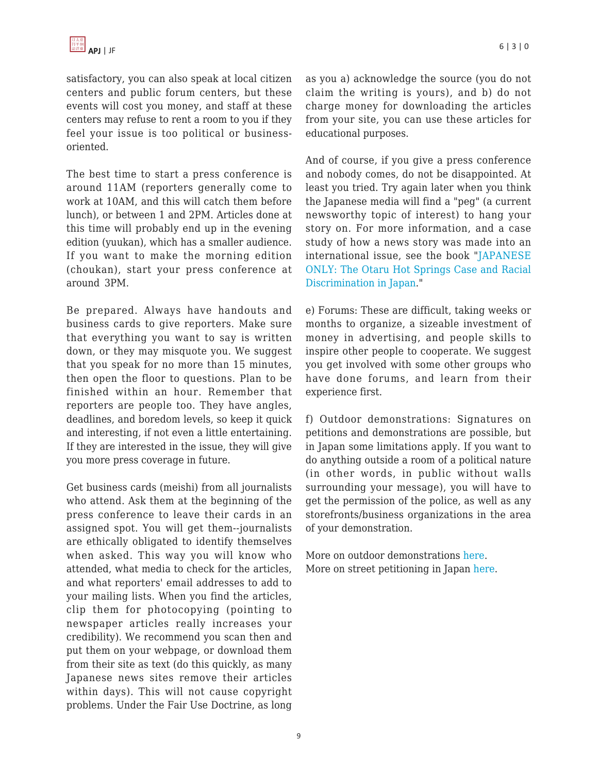satisfactory, you can also speak at local citizen centers and public forum centers, but these events will cost you money, and staff at these centers may refuse to rent a room to you if they feel your issue is too political or businessoriented.

The best time to start a press conference is around 11AM (reporters generally come to work at 10AM, and this will catch them before lunch), or between 1 and 2PM. Articles done at this time will probably end up in the evening edition (yuukan), which has a smaller audience. If you want to make the morning edition (choukan), start your press conference at around 3PM.

Be prepared. Always have handouts and business cards to give reporters. Make sure that everything you want to say is written down, or they may misquote you. We suggest that you speak for no more than 15 minutes, then open the floor to questions. Plan to be finished within an hour. Remember that reporters are people too. They have angles, deadlines, and boredom levels, so keep it quick and interesting, if not even a little entertaining. If they are interested in the issue, they will give you more press coverage in future.

Get business cards (meishi) from all journalists who attend. Ask them at the beginning of the press conference to leave their cards in an assigned spot. You will get them--journalists are ethically obligated to identify themselves when asked. This way you will know who attended, what media to check for the articles, and what reporters' email addresses to add to your mailing lists. When you find the articles, clip them for photocopying (pointing to newspaper articles really increases your credibility). We recommend you scan then and put them on your webpage, or download them from their site as text (do this quickly, as many Japanese news sites remove their articles within days). This will not cause copyright problems. Under the Fair Use Doctrine, as long as you a) acknowledge the source (you do not claim the writing is yours), and b) do not charge money for downloading the articles from your site, you can use these articles for educational purposes.

And of course, if you give a press conference and nobody comes, do not be disappointed. At least you tried. Try again later when you think the Japanese media will find a "peg" (a current newsworthy topic of interest) to hang your story on. For more information, and a case study of how a news story was made into an international issue, see the book "[JAPANESE](http://www.debito.org/japaneseonly.html) [ONLY: The Otaru Hot Springs Case and Racial](http://www.debito.org/japaneseonly.html) [Discrimination in Japan.](http://www.debito.org/japaneseonly.html)"

e) Forums: These are difficult, taking weeks or months to organize, a sizeable investment of money in advertising, and people skills to inspire other people to cooperate. We suggest you get involved with some other groups who have done forums, and learn from their experience first.

f) Outdoor demonstrations: Signatures on petitions and demonstrations are possible, but in Japan some limitations apply. If you want to do anything outside a room of a political nature (in other words, in public without walls surrounding your message), you will have to get the permission of the police, as well as any storefronts/business organizations in the area of your demonstration.

More on outdoor demonstrations [here](http://www.debito.org/japantimes030403.html). More on street petitioning in Japan [here.](http://www.debito.org/pale499.html#aldwinckle)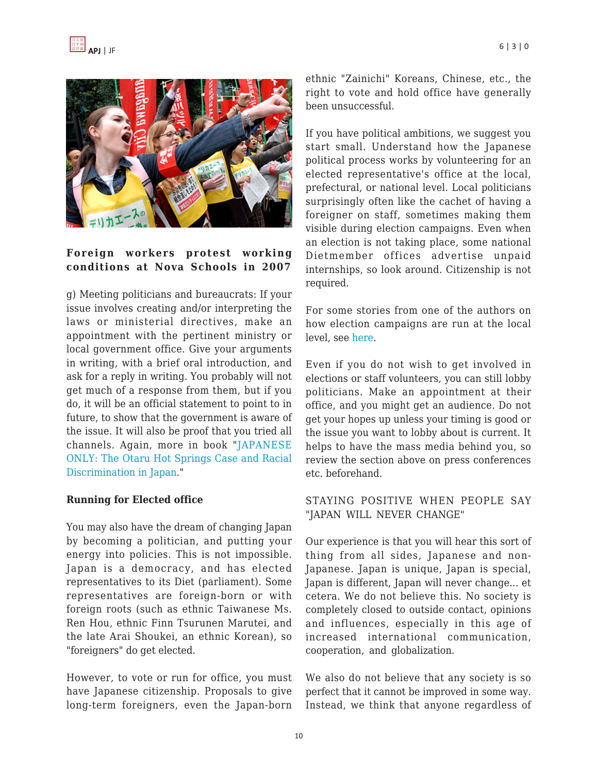

#### **Foreign workers protest working conditions at Nova Schools in 2007**

g) Meeting politicians and bureaucrats: If your issue involves creating and/or interpreting the laws or ministerial directives, make an appointment with the pertinent ministry or local government office. Give your arguments in writing, with a brief oral introduction, and ask for a reply in writing. You probably will not get much of a response from them, but if you do, it will be an official statement to point to in future, to show that the government is aware of the issue. It will also be proof that you tried all channels. Again, more in book "[JAPANESE](http://www.debito.org/japaneseonly.html) [ONLY: The Otaru Hot Springs Case and Racial](http://www.debito.org/japaneseonly.html) [Discrimination in Japan.](http://www.debito.org/japaneseonly.html)"

#### **Running for Elected office**

You may also have the dream of changing Japan by becoming a politician, and putting your energy into policies. This is not impossible. Japan is a democracy, and has elected representatives to its Diet (parliament). Some representatives are foreign-born or with foreign roots (such as ethnic Taiwanese Ms. Ren Hou, ethnic Finn Tsurunen Marutei, and the late Arai Shoukei, an ethnic Korean), so "foreigners" do get elected.

However, to vote or run for office, you must have Japanese citizenship. Proposals to give long-term foreigners, even the Japan-born ethnic "Zainichi" Koreans, Chinese, etc., the right to vote and hold office have generally been unsuccessful.

If you have political ambitions, we suggest you start small. Understand how the Japanese political process works by volunteering for an elected representative's office at the local, prefectural, or national level. Local politicians surprisingly often like the cachet of having a foreigner on staff, sometimes making them visible during election campaigns. Even when an election is not taking place, some national Dietmember offices advertise unpaid internships, so look around. Citizenship is not required.

For some stories from one of the authors on how election campaigns are run at the local level, see [here](http://www.debito.org/activistspage.html#nanporoelections).

Even if you do not wish to get involved in elections or staff volunteers, you can still lobby politicians. Make an appointment at their office, and you might get an audience. Do not get your hopes up unless your timing is good or the issue you want to lobby about is current. It helps to have the mass media behind you, so review the section above on press conferences etc. beforehand.

#### STAYING POSITIVE WHEN PEOPLE SAY "JAPAN WILL NEVER CHANGE"

Our experience is that you will hear this sort of thing from all sides, Japanese and non-Japanese. Japan is unique, Japan is special, Japan is different, Japan will never change... et cetera. We do not believe this. No society is completely closed to outside contact, opinions and influences, especially in this age of increased international communication, cooperation, and globalization.

We also do not believe that any society is so perfect that it cannot be improved in some way. Instead, we think that anyone regardless of